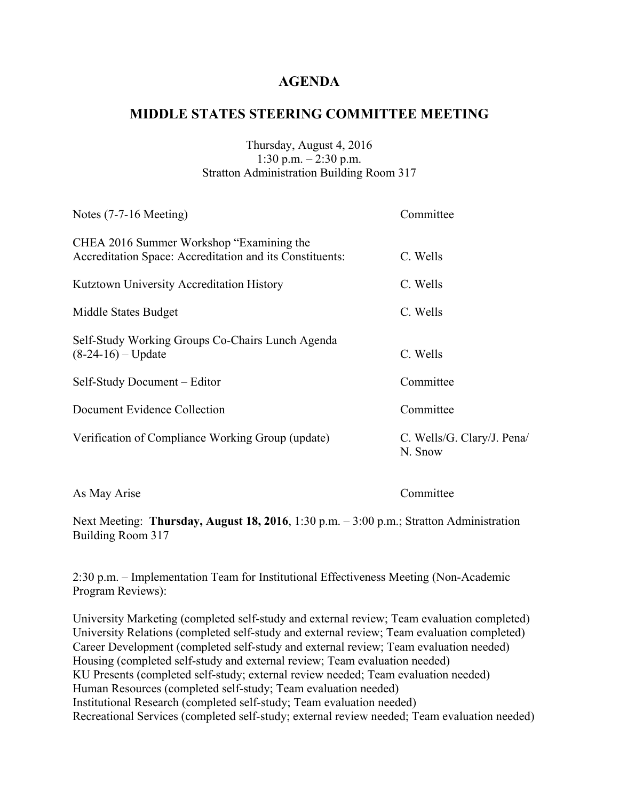## **MIDDLE STATES STEERING COMMITTEE MEETING**

#### Thursday, August 4, 2016 1:30 p.m. – 2:30 p.m. Stratton Administration Building Room 317

| C. Wells/G. Clary/J. Pena/ |
|----------------------------|
|                            |

As May Arise Committee

Next Meeting: **Thursday, August 18, 2016**, 1:30 p.m. – 3:00 p.m.; Stratton Administration Building Room 317

2:30 p.m. – Implementation Team for Institutional Effectiveness Meeting (Non-Academic Program Reviews):

University Marketing (completed self-study and external review; Team evaluation completed) University Relations (completed self-study and external review; Team evaluation completed) Career Development (completed self-study and external review; Team evaluation needed) Housing (completed self-study and external review; Team evaluation needed) KU Presents (completed self-study; external review needed; Team evaluation needed) Human Resources (completed self-study; Team evaluation needed) Institutional Research (completed self-study; Team evaluation needed) Recreational Services (completed self-study; external review needed; Team evaluation needed)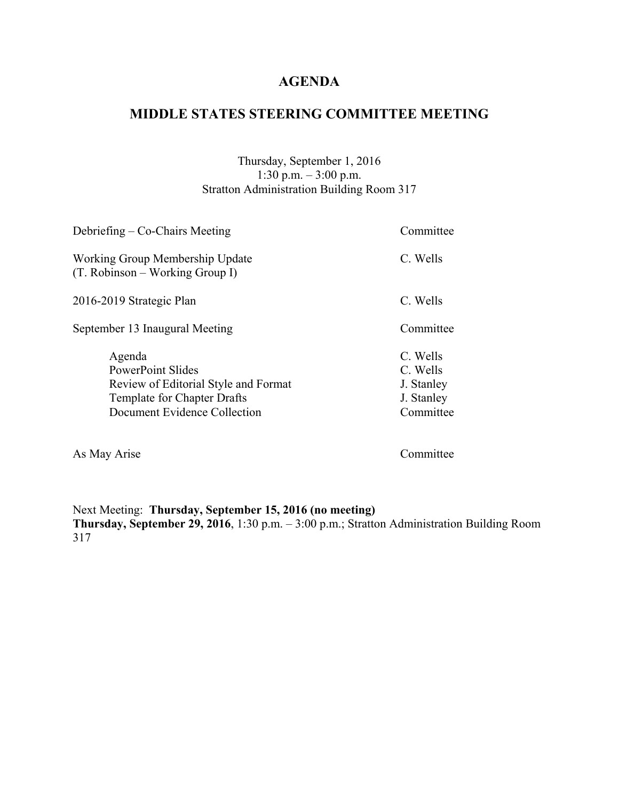## **MIDDLE STATES STEERING COMMITTEE MEETING**

Thursday, September 1, 2016 1:30 p.m. – 3:00 p.m. Stratton Administration Building Room 317

| Debriefing – Co-Chairs Meeting                                                                                                            | Committee                                                     |
|-------------------------------------------------------------------------------------------------------------------------------------------|---------------------------------------------------------------|
| Working Group Membership Update<br>$(T. Robinson - Working Group I)$                                                                      | C. Wells                                                      |
| 2016-2019 Strategic Plan                                                                                                                  | C. Wells                                                      |
| September 13 Inaugural Meeting                                                                                                            | Committee                                                     |
| Agenda<br><b>PowerPoint Slides</b><br>Review of Editorial Style and Format<br>Template for Chapter Drafts<br>Document Evidence Collection | C. Wells<br>C. Wells<br>J. Stanley<br>J. Stanley<br>Committee |

As May Arise Committee

Next Meeting: **Thursday, September 15, 2016 (no meeting) Thursday, September 29, 2016**, 1:30 p.m. – 3:00 p.m.; Stratton Administration Building Room 317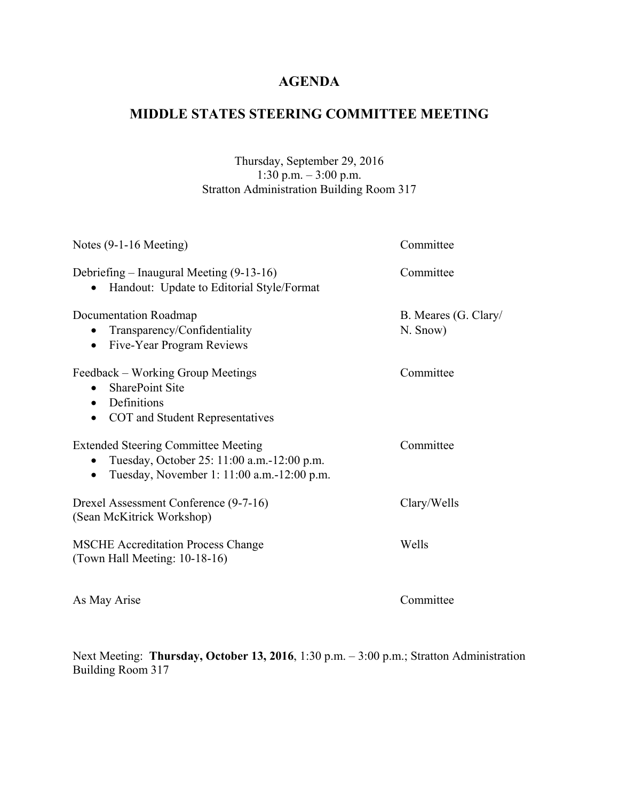## **MIDDLE STATES STEERING COMMITTEE MEETING**

### Thursday, September 29, 2016 1:30 p.m. – 3:00 p.m. Stratton Administration Building Room 317

| Notes $(9-1-16$ Meeting)                                                                                                                             | Committee                        |
|------------------------------------------------------------------------------------------------------------------------------------------------------|----------------------------------|
| Debriefing – Inaugural Meeting (9-13-16)<br>Handout: Update to Editorial Style/Format                                                                | Committee                        |
| Documentation Roadmap<br>Transparency/Confidentiality<br>$\bullet$<br>Five-Year Program Reviews<br>$\bullet$                                         | B. Meares (G. Clary/<br>N. Snow) |
| Feedback – Working Group Meetings<br><b>SharePoint Site</b><br>$\bullet$<br>Definitions<br>$\bullet$<br>COT and Student Representatives<br>$\bullet$ | Committee                        |
| <b>Extended Steering Committee Meeting</b><br>Tuesday, October 25: 11:00 a.m.-12:00 p.m.<br>Tuesday, November 1: 11:00 a.m.-12:00 p.m.<br>$\bullet$  | Committee                        |
| Drexel Assessment Conference (9-7-16)<br>(Sean McKitrick Workshop)                                                                                   | Clary/Wells                      |
| <b>MSCHE Accreditation Process Change</b><br>(Town Hall Meeting: 10-18-16)                                                                           | Wells                            |
| As May Arise                                                                                                                                         | Committee                        |

Next Meeting: **Thursday, October 13, 2016**, 1:30 p.m. – 3:00 p.m.; Stratton Administration Building Room 317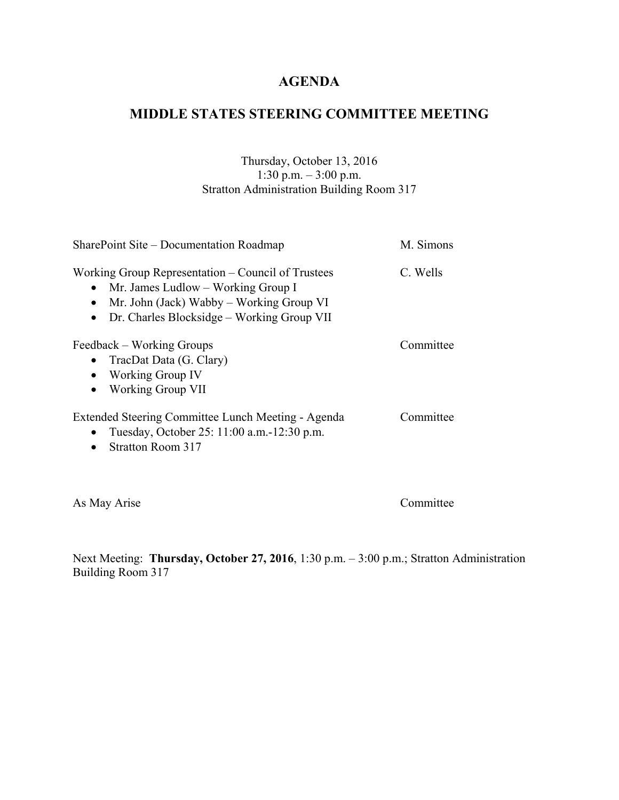## **MIDDLE STATES STEERING COMMITTEE MEETING**

### Thursday, October 13, 2016 1:30 p.m. – 3:00 p.m. Stratton Administration Building Room 317

| SharePoint Site – Documentation Roadmap                                                                                                                                                                      | M. Simons |
|--------------------------------------------------------------------------------------------------------------------------------------------------------------------------------------------------------------|-----------|
| Working Group Representation – Council of Trustees<br>Mr. James Ludlow – Working Group I<br>Mr. John (Jack) Wabby – Working Group VI<br>$\bullet$<br>Dr. Charles Blocksidge – Working Group VII<br>$\bullet$ | C. Wells  |
| Feedback – Working Groups<br>TracDat Data (G. Clary)<br><b>Working Group IV</b><br>$\bullet$<br>Working Group VII<br>$\bullet$                                                                               | Committee |
| Extended Steering Committee Lunch Meeting - Agenda<br>Tuesday, October 25: 11:00 a.m.-12:30 p.m.<br>$\bullet$<br>Stratton Room 317                                                                           | Committee |

As May Arise Committee

Next Meeting: **Thursday, October 27, 2016**, 1:30 p.m. – 3:00 p.m.; Stratton Administration Building Room 317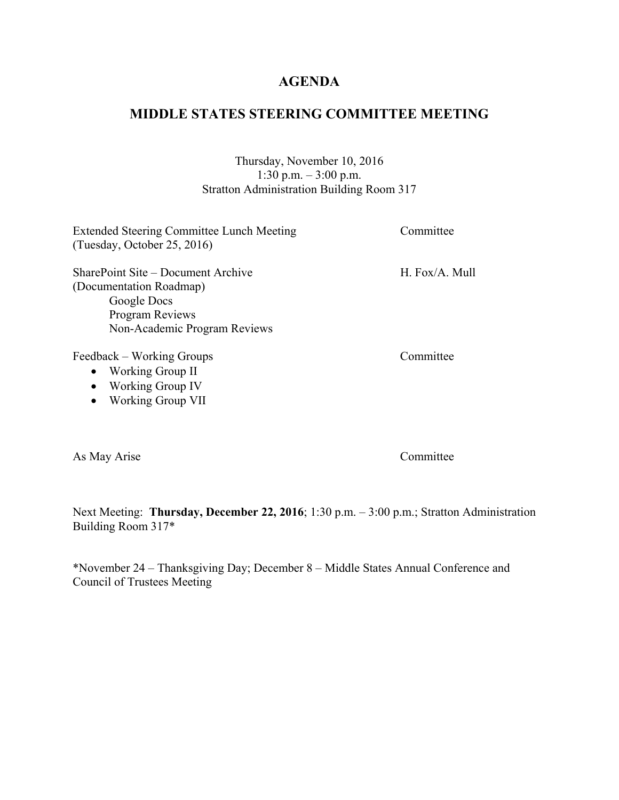## **MIDDLE STATES STEERING COMMITTEE MEETING**

#### Thursday, November 10, 2016 1:30 p.m. – 3:00 p.m. Stratton Administration Building Room 317

| <b>Extended Steering Committee Lunch Meeting</b><br>(Tuesday, October 25, 2016) | Committee      |
|---------------------------------------------------------------------------------|----------------|
| SharePoint Site – Document Archive                                              | H. Fox/A. Mull |
| (Documentation Roadmap)                                                         |                |
| Google Docs                                                                     |                |
| Program Reviews                                                                 |                |
| Non-Academic Program Reviews                                                    |                |
| Feedback – Working Groups                                                       | Committee      |
| • Working Group II                                                              |                |
| $\sim W_{\text{co}}$ in $\sim C_{\text{nonlin}} W$                              |                |

• Working Group IV • Working Group VII

As May Arise Committee

Next Meeting: **Thursday, December 22, 2016**; 1:30 p.m. – 3:00 p.m.; Stratton Administration Building Room 317\*

\*November 24 – Thanksgiving Day; December 8 – Middle States Annual Conference and Council of Trustees Meeting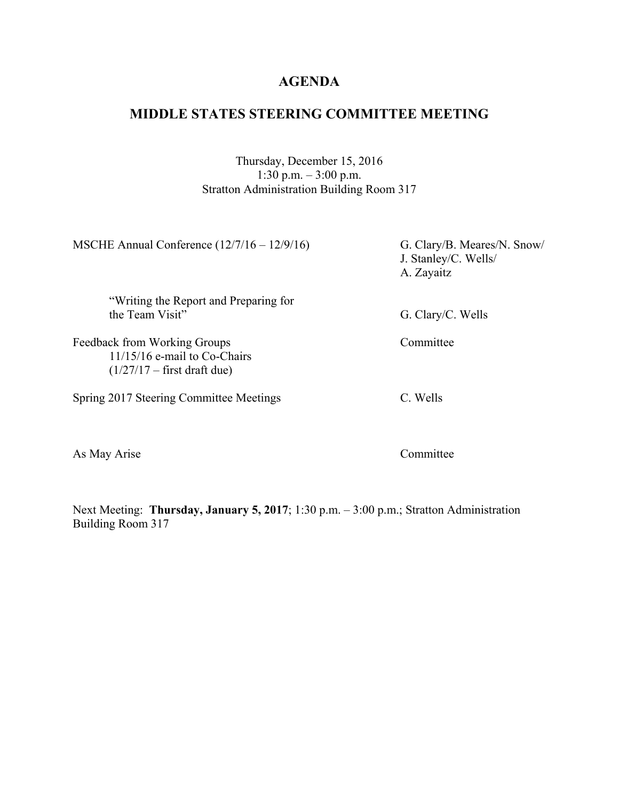## **MIDDLE STATES STEERING COMMITTEE MEETING**

### Thursday, December 15, 2016 1:30 p.m. – 3:00 p.m. Stratton Administration Building Room 317

| G. Clary/B. Meares/N. Snow/<br>J. Stanley/C. Wells/<br>A. Zayaitz |
|-------------------------------------------------------------------|
|                                                                   |
| G. Clary/C. Wells                                                 |
| Committee                                                         |
| C. Wells                                                          |
|                                                                   |

As May Arise Committee

Next Meeting: **Thursday, January 5, 2017**; 1:30 p.m. – 3:00 p.m.; Stratton Administration Building Room 317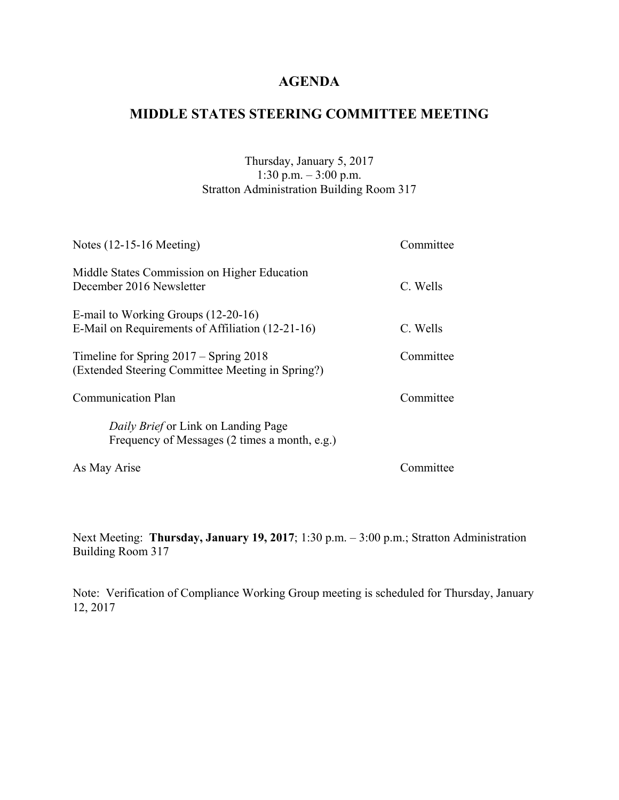## **MIDDLE STATES STEERING COMMITTEE MEETING**

### Thursday, January 5, 2017 1:30 p.m. – 3:00 p.m. Stratton Administration Building Room 317

| Notes $(12-15-16$ Meeting)                                                                     | Committee |
|------------------------------------------------------------------------------------------------|-----------|
| Middle States Commission on Higher Education<br>December 2016 Newsletter                       | C. Wells  |
| E-mail to Working Groups (12-20-16)<br>E-Mail on Requirements of Affiliation (12-21-16)        | C. Wells  |
| Timeline for Spring $2017 -$ Spring $2018$<br>(Extended Steering Committee Meeting in Spring?) | Committee |
| <b>Communication Plan</b>                                                                      | Committee |
| <i>Daily Brief</i> or Link on Landing Page<br>Frequency of Messages (2 times a month, e.g.)    |           |
| As May Arise                                                                                   | Committee |

Next Meeting: **Thursday, January 19, 2017**; 1:30 p.m. – 3:00 p.m.; Stratton Administration Building Room 317

Note: Verification of Compliance Working Group meeting is scheduled for Thursday, January 12, 2017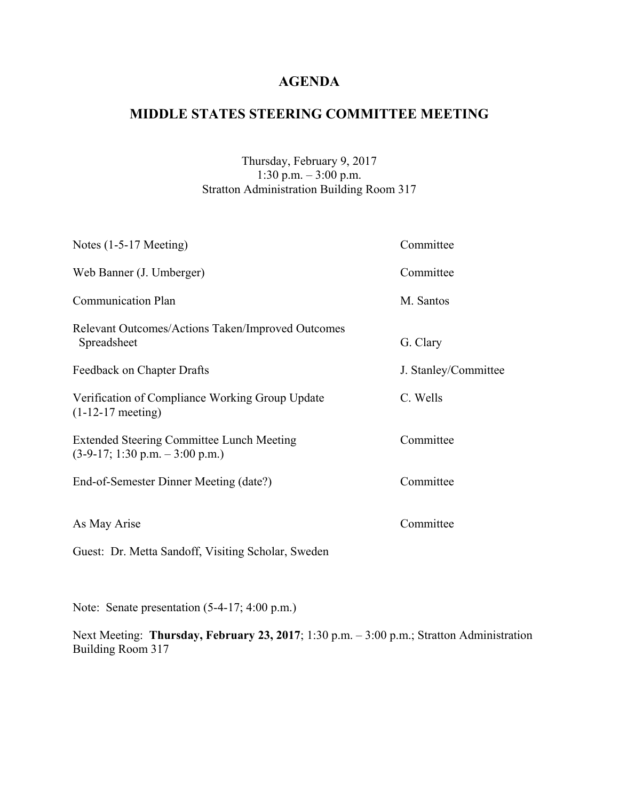## **MIDDLE STATES STEERING COMMITTEE MEETING**

### Thursday, February 9, 2017 1:30 p.m. – 3:00 p.m. Stratton Administration Building Room 317

| Notes $(1-5-17$ Meeting)                                                                              | Committee            |
|-------------------------------------------------------------------------------------------------------|----------------------|
| Web Banner (J. Umberger)                                                                              | Committee            |
| <b>Communication Plan</b>                                                                             | M. Santos            |
| Relevant Outcomes/Actions Taken/Improved Outcomes<br>Spreadsheet                                      | G. Clary             |
| Feedback on Chapter Drafts                                                                            | J. Stanley/Committee |
| Verification of Compliance Working Group Update<br>$(1-12-17$ meeting)                                | C. Wells             |
| <b>Extended Steering Committee Lunch Meeting</b><br>$(3-9-17; 1:30 \text{ p.m.} - 3:00 \text{ p.m.})$ | Committee            |
| End-of-Semester Dinner Meeting (date?)                                                                | Committee            |
| As May Arise                                                                                          | Committee            |
| Guest: Dr. Metta Sandoff, Visiting Scholar, Sweden                                                    |                      |

Note: Senate presentation (5-4-17; 4:00 p.m.)

Next Meeting: Thursday, February 23, 2017; 1:30 p.m. - 3:00 p.m.; Stratton Administration Building Room 317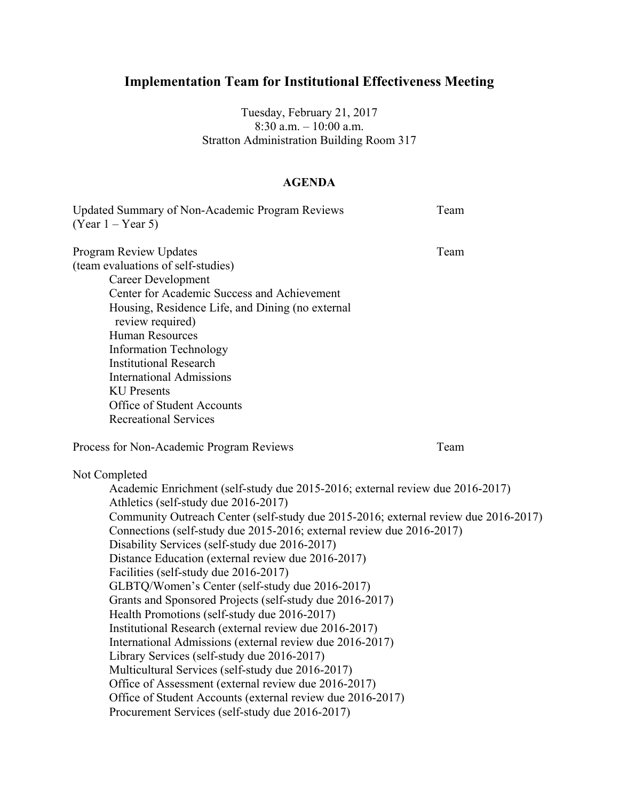# **Implementation Team for Institutional Effectiveness Meeting**

Tuesday, February 21, 2017 8:30 a.m. – 10:00 a.m. Stratton Administration Building Room 317

#### **AGENDA**

| Updated Summary of Non-Academic Program Reviews<br>$(Year 1 - Year 5)$                                                                                                                                                                                                                                                                                                                                                                                                                                                                                                                                                                                                                                                                                                                                                                                                                                                                                                                                                    | Team |
|---------------------------------------------------------------------------------------------------------------------------------------------------------------------------------------------------------------------------------------------------------------------------------------------------------------------------------------------------------------------------------------------------------------------------------------------------------------------------------------------------------------------------------------------------------------------------------------------------------------------------------------------------------------------------------------------------------------------------------------------------------------------------------------------------------------------------------------------------------------------------------------------------------------------------------------------------------------------------------------------------------------------------|------|
| <b>Program Review Updates</b><br>(team evaluations of self-studies)<br><b>Career Development</b><br>Center for Academic Success and Achievement<br>Housing, Residence Life, and Dining (no external<br>review required)<br><b>Human Resources</b><br><b>Information Technology</b><br><b>Institutional Research</b><br><b>International Admissions</b><br><b>KU</b> Presents<br>Office of Student Accounts<br><b>Recreational Services</b>                                                                                                                                                                                                                                                                                                                                                                                                                                                                                                                                                                                | Team |
| Process for Non-Academic Program Reviews                                                                                                                                                                                                                                                                                                                                                                                                                                                                                                                                                                                                                                                                                                                                                                                                                                                                                                                                                                                  | Team |
| Not Completed<br>Academic Enrichment (self-study due 2015-2016; external review due 2016-2017)<br>Athletics (self-study due 2016-2017)<br>Community Outreach Center (self-study due 2015-2016; external review due 2016-2017)<br>Connections (self-study due 2015-2016; external review due 2016-2017)<br>Disability Services (self-study due 2016-2017)<br>Distance Education (external review due 2016-2017)<br>Facilities (self-study due 2016-2017)<br>GLBTQ/Women's Center (self-study due 2016-2017)<br>Grants and Sponsored Projects (self-study due 2016-2017)<br>Health Promotions (self-study due 2016-2017)<br>Institutional Research (external review due 2016-2017)<br>International Admissions (external review due 2016-2017)<br>Library Services (self-study due 2016-2017)<br>Multicultural Services (self-study due 2016-2017)<br>Office of Assessment (external review due 2016-2017)<br>Office of Student Accounts (external review due 2016-2017)<br>Procurement Services (self-study due 2016-2017) |      |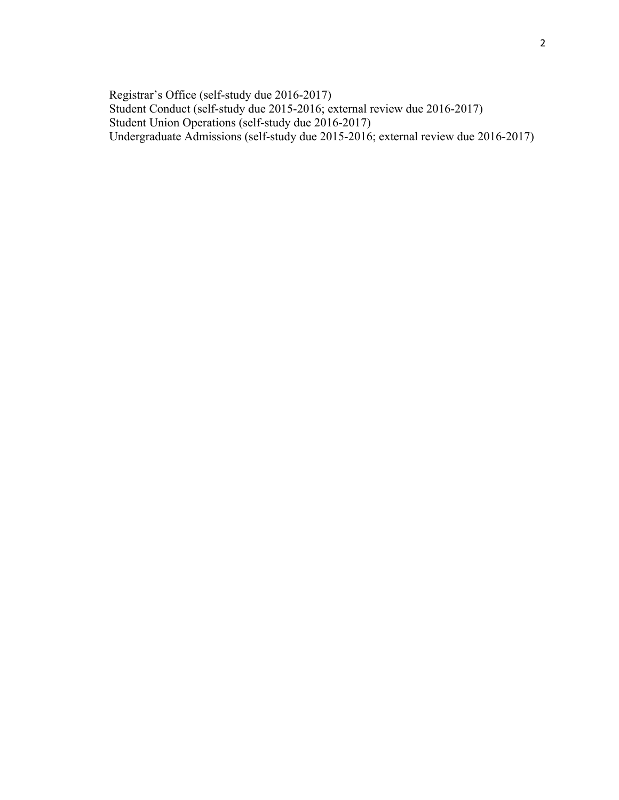Registrar's Office (self-study due 2016-2017) Student Conduct (self-study due 2015-2016; external review due 2016-2017) Student Union Operations (self-study due 2016-2017) Undergraduate Admissions (self-study due 2015-2016; external review due 2016-2017)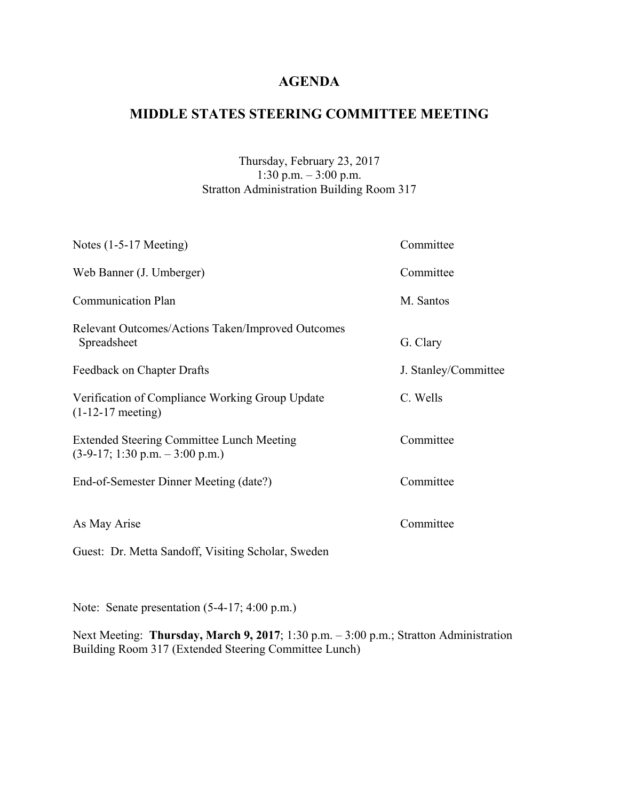## **MIDDLE STATES STEERING COMMITTEE MEETING**

### Thursday, February 23, 2017 1:30 p.m. – 3:00 p.m. Stratton Administration Building Room 317

| Notes $(1-5-17$ Meeting)                                                                              | Committee            |
|-------------------------------------------------------------------------------------------------------|----------------------|
| Web Banner (J. Umberger)                                                                              | Committee            |
| <b>Communication Plan</b>                                                                             | M. Santos            |
| Relevant Outcomes/Actions Taken/Improved Outcomes<br>Spreadsheet                                      | G. Clary             |
| Feedback on Chapter Drafts                                                                            | J. Stanley/Committee |
| Verification of Compliance Working Group Update<br>$(1-12-17$ meeting)                                | C. Wells             |
| <b>Extended Steering Committee Lunch Meeting</b><br>$(3-9-17; 1:30 \text{ p.m.} - 3:00 \text{ p.m.})$ | Committee            |
| End-of-Semester Dinner Meeting (date?)                                                                | Committee            |
| As May Arise                                                                                          | Committee            |
| Guest: Dr. Metta Sandoff, Visiting Scholar, Sweden                                                    |                      |

Note: Senate presentation (5-4-17; 4:00 p.m.)

Next Meeting: **Thursday, March 9, 2017**; 1:30 p.m. – 3:00 p.m.; Stratton Administration Building Room 317 (Extended Steering Committee Lunch)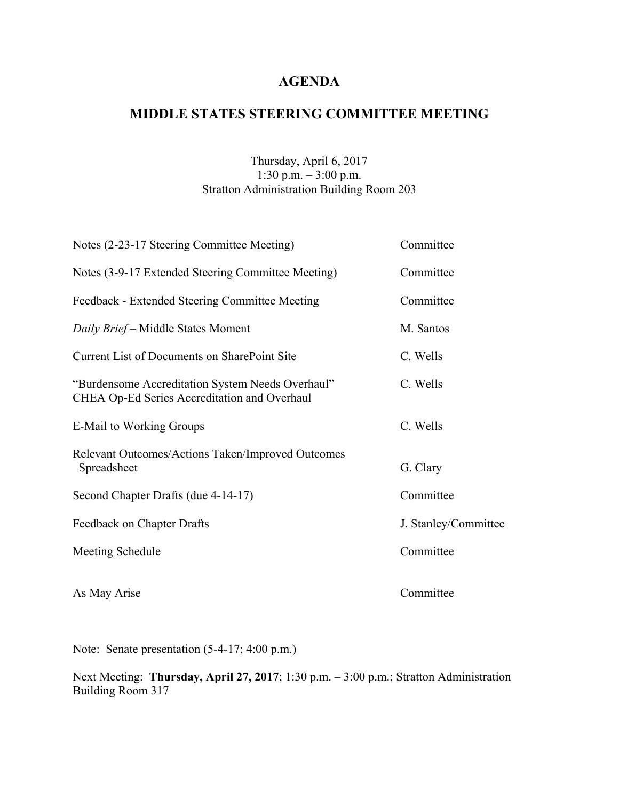## **MIDDLE STATES STEERING COMMITTEE MEETING**

### Thursday, April 6, 2017 1:30 p.m. – 3:00 p.m. Stratton Administration Building Room 203

| Notes (2-23-17 Steering Committee Meeting)                                                       | Committee            |
|--------------------------------------------------------------------------------------------------|----------------------|
| Notes (3-9-17 Extended Steering Committee Meeting)                                               | Committee            |
| Feedback - Extended Steering Committee Meeting                                                   | Committee            |
| Daily Brief - Middle States Moment                                                               | M. Santos            |
| <b>Current List of Documents on SharePoint Site</b>                                              | C. Wells             |
| "Burdensome Accreditation System Needs Overhaul"<br>CHEA Op-Ed Series Accreditation and Overhaul | C. Wells             |
| E-Mail to Working Groups                                                                         | C. Wells             |
| Relevant Outcomes/Actions Taken/Improved Outcomes<br>Spreadsheet                                 | G. Clary             |
| Second Chapter Drafts (due 4-14-17)                                                              | Committee            |
| Feedback on Chapter Drafts                                                                       | J. Stanley/Committee |
| Meeting Schedule                                                                                 | Committee            |
| As May Arise                                                                                     | Committee            |

Note: Senate presentation (5-4-17; 4:00 p.m.)

Next Meeting: **Thursday, April 27, 2017**; 1:30 p.m. – 3:00 p.m.; Stratton Administration Building Room 317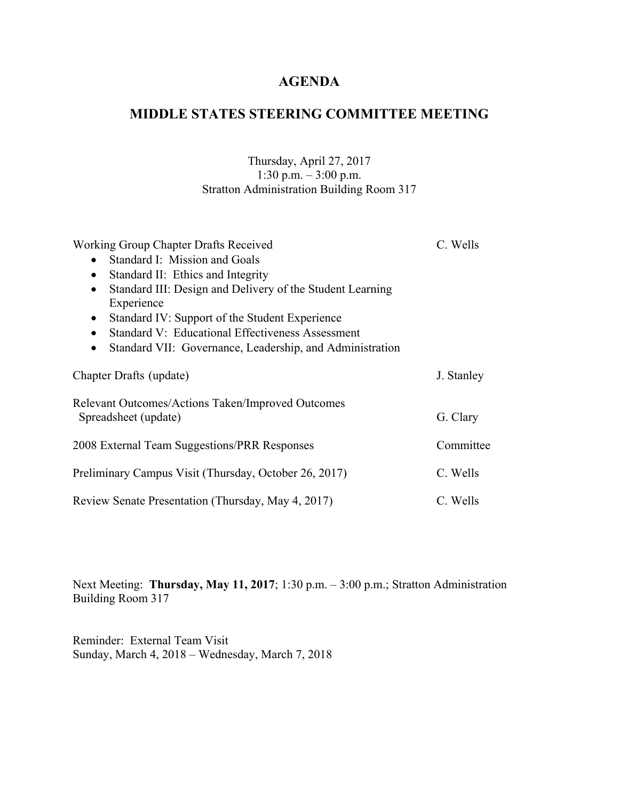## **MIDDLE STATES STEERING COMMITTEE MEETING**

### Thursday, April 27, 2017 1:30 p.m. – 3:00 p.m. Stratton Administration Building Room 317

| Working Group Chapter Drafts Received                                     | C. Wells   |
|---------------------------------------------------------------------------|------------|
| Standard I: Mission and Goals<br>$\bullet$                                |            |
| Standard II: Ethics and Integrity<br>$\bullet$                            |            |
| Standard III: Design and Delivery of the Student Learning<br>$\bullet$    |            |
| Experience                                                                |            |
| Standard IV: Support of the Student Experience<br>$\bullet$               |            |
| Standard V: Educational Effectiveness Assessment<br>$\bullet$             |            |
| Standard VII: Governance, Leadership, and Administration<br>$\bullet$     |            |
| Chapter Drafts (update)                                                   | J. Stanley |
| Relevant Outcomes/Actions Taken/Improved Outcomes<br>Spreadsheet (update) | G. Clary   |
| 2008 External Team Suggestions/PRR Responses                              | Committee  |
| Preliminary Campus Visit (Thursday, October 26, 2017)                     | C. Wells   |
| Review Senate Presentation (Thursday, May 4, 2017)                        | C. Wells   |

Next Meeting: **Thursday, May 11, 2017**; 1:30 p.m. – 3:00 p.m.; Stratton Administration Building Room 317

Reminder: External Team Visit Sunday, March 4, 2018 – Wednesday, March 7, 2018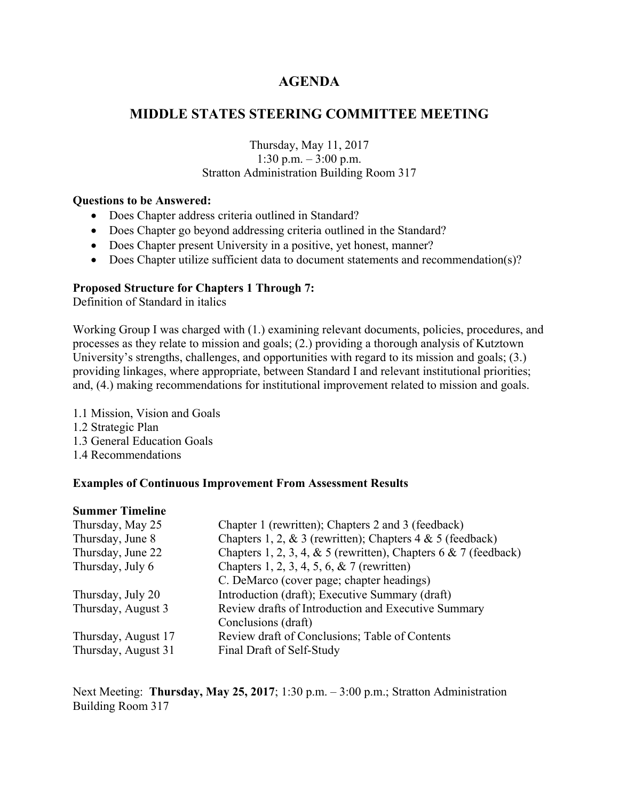## **MIDDLE STATES STEERING COMMITTEE MEETING**

#### Thursday, May 11, 2017 1:30 p.m. – 3:00 p.m. Stratton Administration Building Room 317

#### **Questions to be Answered:**

- Does Chapter address criteria outlined in Standard?
- Does Chapter go beyond addressing criteria outlined in the Standard?
- Does Chapter present University in a positive, yet honest, manner?
- Does Chapter utilize sufficient data to document statements and recommendation(s)?

#### **Proposed Structure for Chapters 1 Through 7:**

Definition of Standard in italics

Working Group I was charged with (1.) examining relevant documents, policies, procedures, and processes as they relate to mission and goals; (2.) providing a thorough analysis of Kutztown University's strengths, challenges, and opportunities with regard to its mission and goals; (3.) providing linkages, where appropriate, between Standard I and relevant institutional priorities; and, (4.) making recommendations for institutional improvement related to mission and goals.

1.1 Mission, Vision and Goals 1.2 Strategic Plan 1.3 General Education Goals 1.4 Recommendations

#### **Examples of Continuous Improvement From Assessment Results**

#### **Summer Timeline**

| Thursday, May 25    | Chapter 1 (rewritten); Chapters 2 and 3 (feedback)                 |
|---------------------|--------------------------------------------------------------------|
| Thursday, June 8    | Chapters 1, 2, & 3 (rewritten); Chapters $4 & 5$ (feedback)        |
| Thursday, June 22   | Chapters 1, 2, 3, 4, & 5 (rewritten), Chapters $6 \& 7$ (feedback) |
| Thursday, July 6    | Chapters 1, 2, 3, 4, 5, 6, & 7 (rewritten)                         |
|                     | C. DeMarco (cover page; chapter headings)                          |
| Thursday, July 20   | Introduction (draft); Executive Summary (draft)                    |
| Thursday, August 3  | Review drafts of Introduction and Executive Summary                |
|                     | Conclusions (draft)                                                |
| Thursday, August 17 | Review draft of Conclusions; Table of Contents                     |
| Thursday, August 31 | Final Draft of Self-Study                                          |

Next Meeting: **Thursday, May 25, 2017**; 1:30 p.m. – 3:00 p.m.; Stratton Administration Building Room 317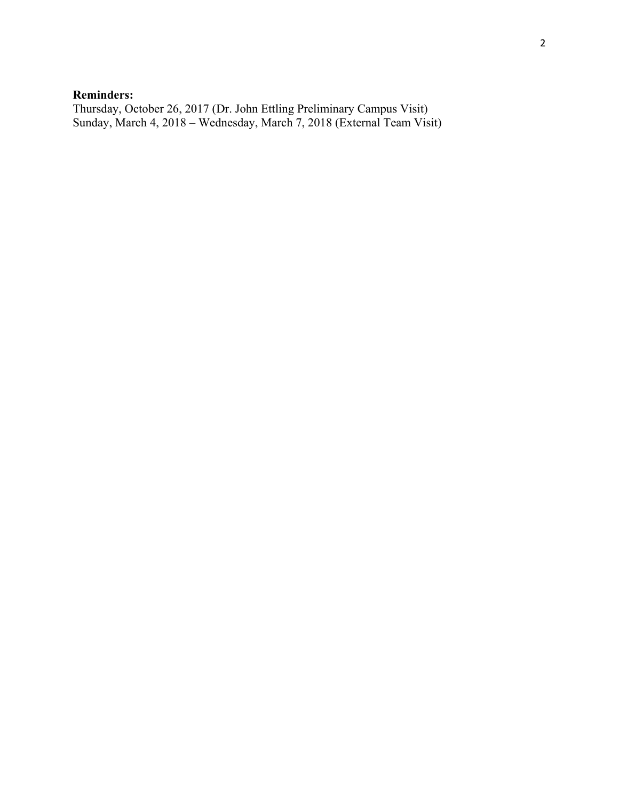### **Reminders:**

Thursday, October 26, 2017 (Dr. John Ettling Preliminary Campus Visit) Sunday, March 4, 2018 – Wednesday, March 7, 2018 (External Team Visit)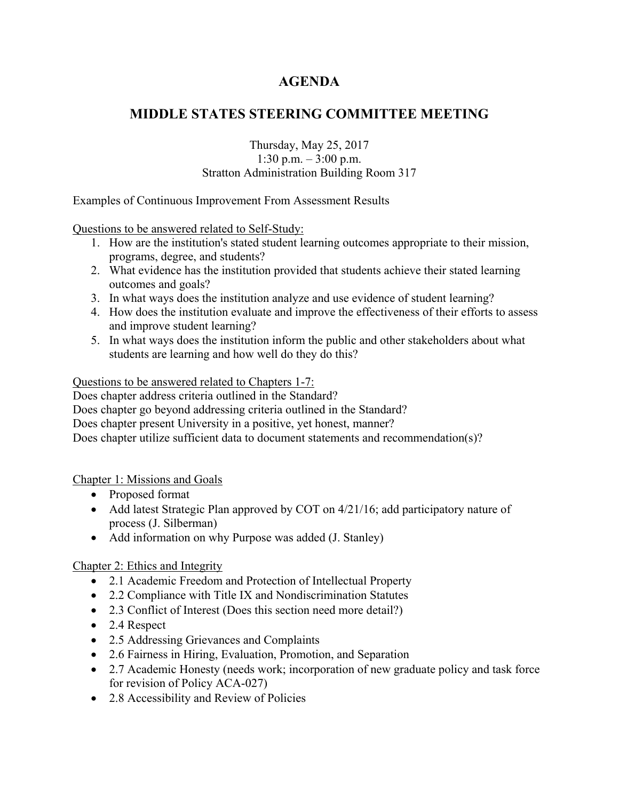## **MIDDLE STATES STEERING COMMITTEE MEETING**

#### Thursday, May 25, 2017 1:30 p.m. – 3:00 p.m. Stratton Administration Building Room 317

Examples of Continuous Improvement From Assessment Results

Questions to be answered related to Self-Study:

- 1. How are the institution's stated student learning outcomes appropriate to their mission, programs, degree, and students?
- 2. What evidence has the institution provided that students achieve their stated learning outcomes and goals?
- 3. In what ways does the institution analyze and use evidence of student learning?
- 4. How does the institution evaluate and improve the effectiveness of their efforts to assess and improve student learning?
- 5. In what ways does the institution inform the public and other stakeholders about what students are learning and how well do they do this?

Questions to be answered related to Chapters 1-7:

Does chapter address criteria outlined in the Standard?

Does chapter go beyond addressing criteria outlined in the Standard?

Does chapter present University in a positive, yet honest, manner?

Does chapter utilize sufficient data to document statements and recommendation(s)?

Chapter 1: Missions and Goals

- Proposed format
- Add latest Strategic Plan approved by COT on 4/21/16; add participatory nature of process (J. Silberman)
- Add information on why Purpose was added (J. Stanley)

Chapter 2: Ethics and Integrity

- 2.1 Academic Freedom and Protection of Intellectual Property
- 2.2 Compliance with Title IX and Nondiscrimination Statutes
- 2.3 Conflict of Interest (Does this section need more detail?)
- 2.4 Respect
- 2.5 Addressing Grievances and Complaints
- 2.6 Fairness in Hiring, Evaluation, Promotion, and Separation
- 2.7 Academic Honesty (needs work; incorporation of new graduate policy and task force for revision of Policy ACA-027)
- 2.8 Accessibility and Review of Policies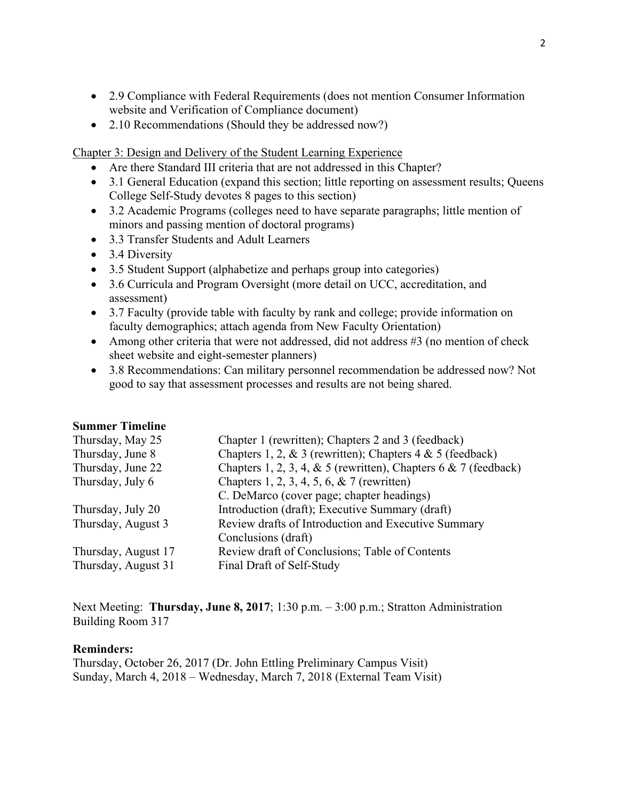- 2.9 Compliance with Federal Requirements (does not mention Consumer Information website and Verification of Compliance document)
- 2.10 Recommendations (Should they be addressed now?)

Chapter 3: Design and Delivery of the Student Learning Experience

- Are there Standard III criteria that are not addressed in this Chapter?
- 3.1 General Education (expand this section; little reporting on assessment results; Queens College Self-Study devotes 8 pages to this section)
- 3.2 Academic Programs (colleges need to have separate paragraphs; little mention of minors and passing mention of doctoral programs)
- 3.3 Transfer Students and Adult Learners
- 3.4 Diversity
- 3.5 Student Support (alphabetize and perhaps group into categories)
- 3.6 Curricula and Program Oversight (more detail on UCC, accreditation, and assessment)
- 3.7 Faculty (provide table with faculty by rank and college; provide information on faculty demographics; attach agenda from New Faculty Orientation)
- Among other criteria that were not addressed, did not address #3 (no mention of check sheet website and eight-semester planners)
- 3.8 Recommendations: Can military personnel recommendation be addressed now? Not good to say that assessment processes and results are not being shared.

#### **Summer Timeline**

| Chapter 1 (rewritten); Chapters 2 and 3 (feedback)              |
|-----------------------------------------------------------------|
| Chapters 1, 2, & 3 (rewritten); Chapters 4 & 5 (feedback)       |
| Chapters 1, 2, 3, 4, & 5 (rewritten), Chapters 6 & 7 (feedback) |
| Chapters 1, 2, 3, 4, 5, 6, & 7 (rewritten)                      |
| C. DeMarco (cover page; chapter headings)                       |
| Introduction (draft); Executive Summary (draft)                 |
| Review drafts of Introduction and Executive Summary             |
| Conclusions (draft)                                             |
| Review draft of Conclusions; Table of Contents                  |
| Final Draft of Self-Study                                       |
|                                                                 |

Next Meeting: **Thursday, June 8, 2017**; 1:30 p.m. – 3:00 p.m.; Stratton Administration Building Room 317

#### **Reminders:**

Thursday, October 26, 2017 (Dr. John Ettling Preliminary Campus Visit) Sunday, March 4, 2018 – Wednesday, March 7, 2018 (External Team Visit)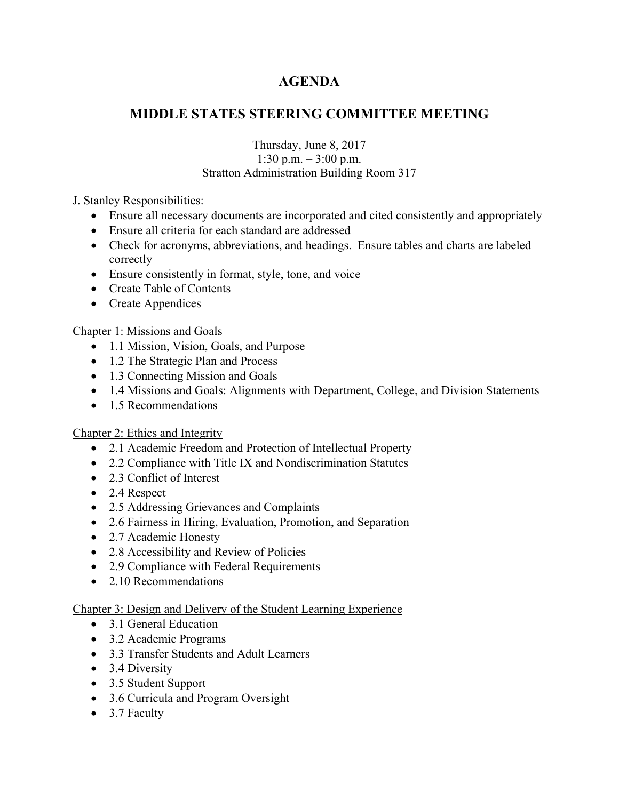## **MIDDLE STATES STEERING COMMITTEE MEETING**

### Thursday, June 8, 2017 1:30 p.m. – 3:00 p.m. Stratton Administration Building Room 317

## J. Stanley Responsibilities:

- Ensure all necessary documents are incorporated and cited consistently and appropriately
- Ensure all criteria for each standard are addressed
- Check for acronyms, abbreviations, and headings. Ensure tables and charts are labeled correctly
- Ensure consistently in format, style, tone, and voice
- Create Table of Contents
- Create Appendices

## Chapter 1: Missions and Goals

- 1.1 Mission, Vision, Goals, and Purpose
- 1.2 The Strategic Plan and Process
- 1.3 Connecting Mission and Goals
- 1.4 Missions and Goals: Alignments with Department, College, and Division Statements
- 1.5 Recommendations

### Chapter 2: Ethics and Integrity

- 2.1 Academic Freedom and Protection of Intellectual Property
- 2.2 Compliance with Title IX and Nondiscrimination Statutes
- 2.3 Conflict of Interest
- 2.4 Respect
- 2.5 Addressing Grievances and Complaints
- 2.6 Fairness in Hiring, Evaluation, Promotion, and Separation
- 2.7 Academic Honesty
- 2.8 Accessibility and Review of Policies
- 2.9 Compliance with Federal Requirements
- 2.10 Recommendations

### Chapter 3: Design and Delivery of the Student Learning Experience

- 3.1 General Education
- 3.2 Academic Programs
- 3.3 Transfer Students and Adult Learners
- 3.4 Diversity
- 3.5 Student Support
- 3.6 Curricula and Program Oversight
- 3.7 Faculty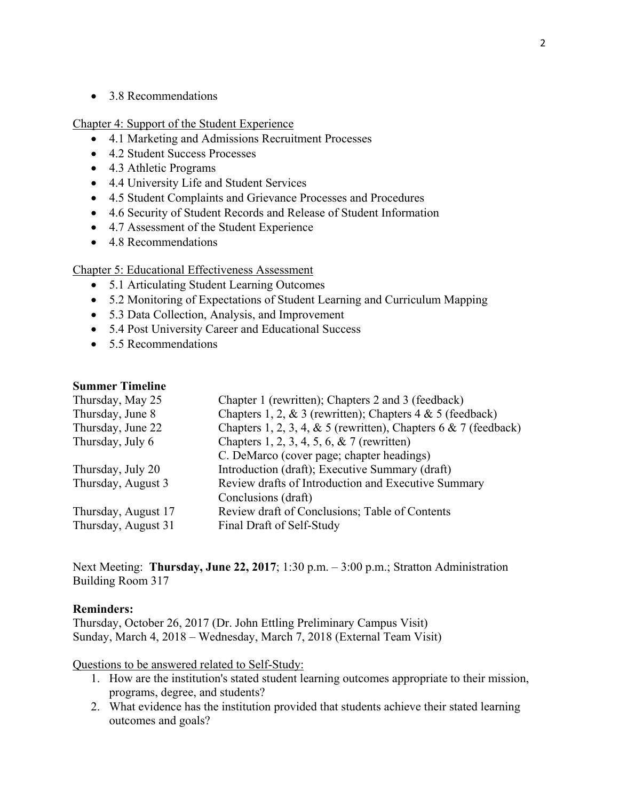• 3.8 Recommendations

Chapter 4: Support of the Student Experience

- 4.1 Marketing and Admissions Recruitment Processes
- 4.2 Student Success Processes
- 4.3 Athletic Programs
- 4.4 University Life and Student Services
- 4.5 Student Complaints and Grievance Processes and Procedures
- 4.6 Security of Student Records and Release of Student Information
- 4.7 Assessment of the Student Experience
- 4.8 Recommendations

#### Chapter 5: Educational Effectiveness Assessment

- 5.1 Articulating Student Learning Outcomes
- 5.2 Monitoring of Expectations of Student Learning and Curriculum Mapping
- 5.3 Data Collection, Analysis, and Improvement
- 5.4 Post University Career and Educational Success
- 5.5 Recommendations

#### **Summer Timeline**

| Thursday, May 25    | Chapter 1 (rewritten); Chapters 2 and 3 (feedback)                 |
|---------------------|--------------------------------------------------------------------|
| Thursday, June 8    | Chapters 1, 2, & 3 (rewritten); Chapters $4 \& 5$ (feedback)       |
| Thursday, June 22   | Chapters 1, 2, 3, 4, & 5 (rewritten), Chapters $6 \& 7$ (feedback) |
| Thursday, July 6    | Chapters 1, 2, 3, 4, 5, 6, & 7 (rewritten)                         |
|                     | C. DeMarco (cover page; chapter headings)                          |
| Thursday, July 20   | Introduction (draft); Executive Summary (draft)                    |
| Thursday, August 3  | Review drafts of Introduction and Executive Summary                |
|                     | Conclusions (draft)                                                |
| Thursday, August 17 | Review draft of Conclusions; Table of Contents                     |
| Thursday, August 31 | Final Draft of Self-Study                                          |
|                     |                                                                    |

Next Meeting: **Thursday, June 22, 2017**; 1:30 p.m. – 3:00 p.m.; Stratton Administration Building Room 317

#### **Reminders:**

Thursday, October 26, 2017 (Dr. John Ettling Preliminary Campus Visit) Sunday, March 4, 2018 – Wednesday, March 7, 2018 (External Team Visit)

Questions to be answered related to Self-Study:

- 1. How are the institution's stated student learning outcomes appropriate to their mission, programs, degree, and students?
- 2. What evidence has the institution provided that students achieve their stated learning outcomes and goals?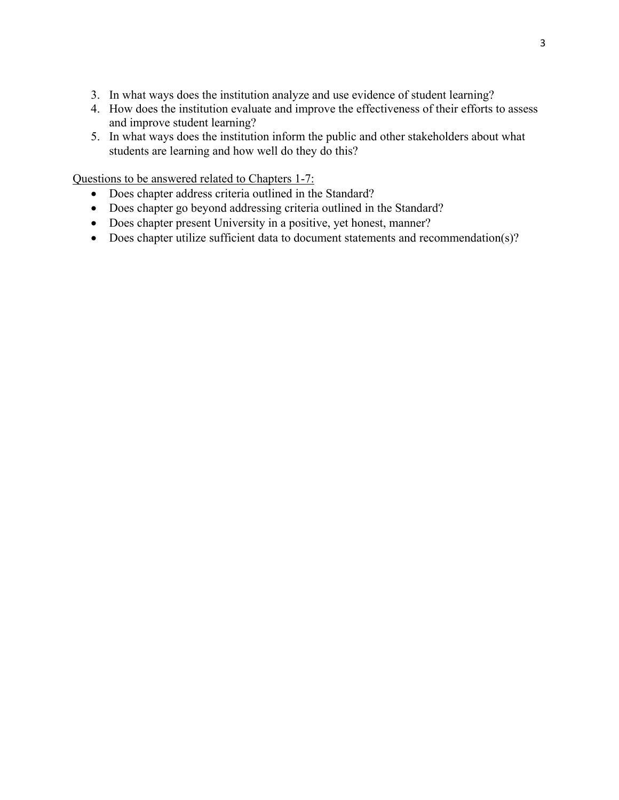- 3. In what ways does the institution analyze and use evidence of student learning?
- 4. How does the institution evaluate and improve the effectiveness of their efforts to assess and improve student learning?
- 5. In what ways does the institution inform the public and other stakeholders about what students are learning and how well do they do this?

Questions to be answered related to Chapters 1-7:

- Does chapter address criteria outlined in the Standard?
- Does chapter go beyond addressing criteria outlined in the Standard?
- Does chapter present University in a positive, yet honest, manner?
- Does chapter utilize sufficient data to document statements and recommendation(s)?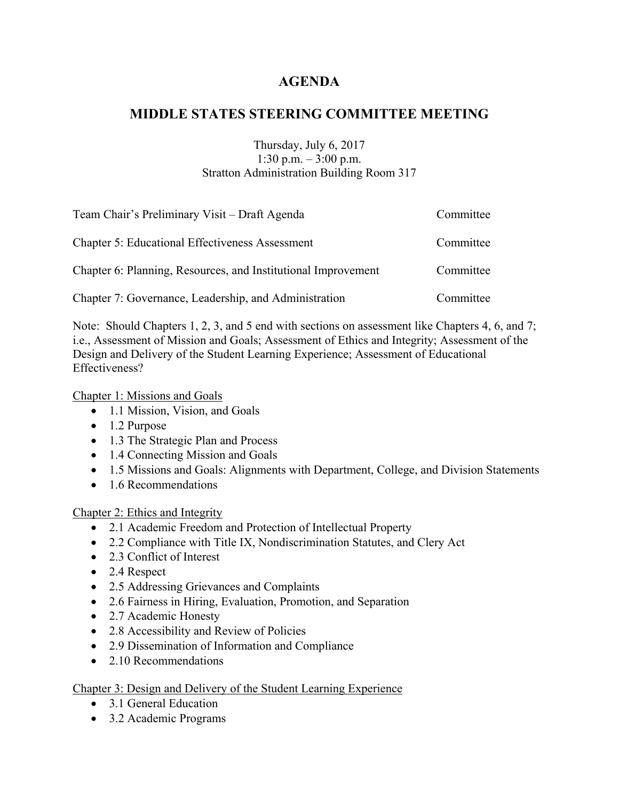## **MIDDLE STATES STEERING COMMITTEE MEETING**

#### Thursday, July 6, 2017 1:30 p.m. – 3:00 p.m. Stratton Administration Building Room 317

| Team Chair's Preliminary Visit – Draft Agenda                 | Committee |
|---------------------------------------------------------------|-----------|
| <b>Chapter 5: Educational Effectiveness Assessment</b>        | Committee |
| Chapter 6: Planning, Resources, and Institutional Improvement | Committee |
| Chapter 7: Governance, Leadership, and Administration         | Committee |

Note: Should Chapters 1, 2, 3, and 5 end with sections on assessment like Chapters 4, 6, and 7; i.e., Assessment of Mission and Goals; Assessment of Ethics and Integrity; Assessment of the Design and Delivery of the Student Learning Experience; Assessment of Educational Effectiveness?

Chapter 1: Missions and Goals

- 1.1 Mission, Vision, and Goals
- 1.2 Purpose
- 1.3 The Strategic Plan and Process
- 1.4 Connecting Mission and Goals
- 1.5 Missions and Goals: Alignments with Department, College, and Division Statements
- 1.6 Recommendations

### Chapter 2: Ethics and Integrity

- 2.1 Academic Freedom and Protection of Intellectual Property
- 2.2 Compliance with Title IX, Nondiscrimination Statutes, and Clery Act
- 2.3 Conflict of Interest
- 2.4 Respect
- 2.5 Addressing Grievances and Complaints
- 2.6 Fairness in Hiring, Evaluation, Promotion, and Separation
- 2.7 Academic Honesty
- 2.8 Accessibility and Review of Policies
- 2.9 Dissemination of Information and Compliance
- 2.10 Recommendations

### Chapter 3: Design and Delivery of the Student Learning Experience

- 3.1 General Education
- 3.2 Academic Programs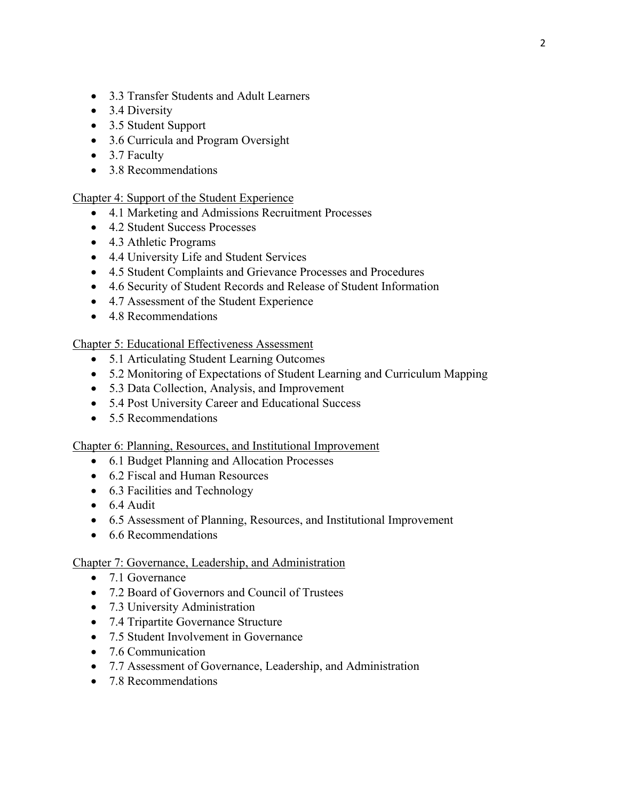- 3.3 Transfer Students and Adult Learners
- 3.4 Diversity
- 3.5 Student Support
- 3.6 Curricula and Program Oversight
- 3.7 Faculty
- 3.8 Recommendations

#### Chapter 4: Support of the Student Experience

- 4.1 Marketing and Admissions Recruitment Processes
- 4.2 Student Success Processes
- 4.3 Athletic Programs
- 4.4 University Life and Student Services
- 4.5 Student Complaints and Grievance Processes and Procedures
- 4.6 Security of Student Records and Release of Student Information
- 4.7 Assessment of the Student Experience
- 4.8 Recommendations

#### Chapter 5: Educational Effectiveness Assessment

- 5.1 Articulating Student Learning Outcomes
- 5.2 Monitoring of Expectations of Student Learning and Curriculum Mapping
- 5.3 Data Collection, Analysis, and Improvement
- 5.4 Post University Career and Educational Success
- 5.5 Recommendations

#### Chapter 6: Planning, Resources, and Institutional Improvement

- 6.1 Budget Planning and Allocation Processes
- 6.2 Fiscal and Human Resources
- 6.3 Facilities and Technology
- 6.4 Audit
- 6.5 Assessment of Planning, Resources, and Institutional Improvement
- 6.6 Recommendations

#### Chapter 7: Governance, Leadership, and Administration

- 7.1 Governance
- 7.2 Board of Governors and Council of Trustees
- 7.3 University Administration
- 7.4 Tripartite Governance Structure
- 7.5 Student Involvement in Governance
- 7.6 Communication
- 7.7 Assessment of Governance, Leadership, and Administration
- 7.8 Recommendations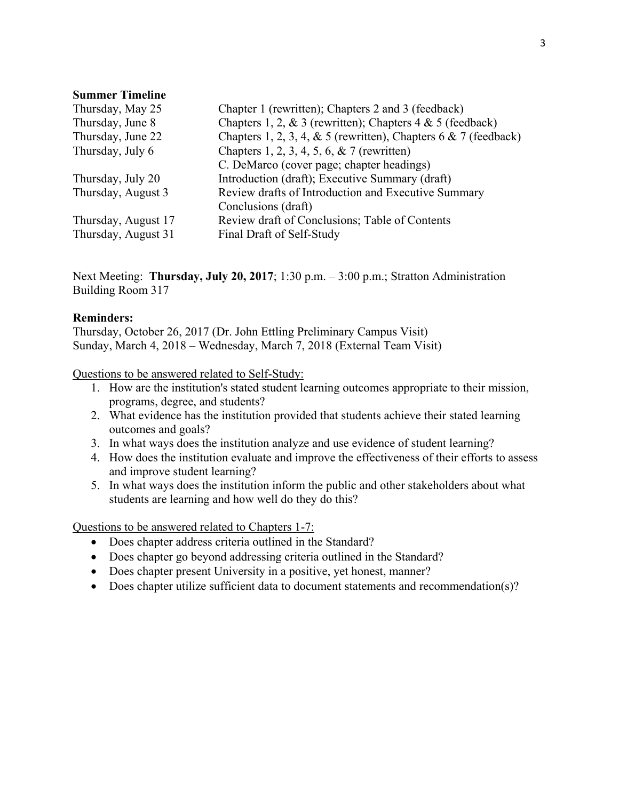#### **Summer Timeline**

| Thursday, May 25    | Chapter 1 (rewritten); Chapters 2 and 3 (feedback)                 |
|---------------------|--------------------------------------------------------------------|
| Thursday, June 8    | Chapters 1, 2, & 3 (rewritten); Chapters 4 & 5 (feedback)          |
| Thursday, June 22   | Chapters 1, 2, 3, 4, & 5 (rewritten), Chapters $6 \& 7$ (feedback) |
| Thursday, July 6    | Chapters 1, 2, 3, 4, 5, 6, & 7 (rewritten)                         |
|                     | C. DeMarco (cover page; chapter headings)                          |
| Thursday, July 20   | Introduction (draft); Executive Summary (draft)                    |
| Thursday, August 3  | Review drafts of Introduction and Executive Summary                |
|                     | Conclusions (draft)                                                |
| Thursday, August 17 | Review draft of Conclusions; Table of Contents                     |
| Thursday, August 31 | Final Draft of Self-Study                                          |

Next Meeting: **Thursday, July 20, 2017**; 1:30 p.m. – 3:00 p.m.; Stratton Administration Building Room 317

#### **Reminders:**

Thursday, October 26, 2017 (Dr. John Ettling Preliminary Campus Visit) Sunday, March 4, 2018 – Wednesday, March 7, 2018 (External Team Visit)

Questions to be answered related to Self-Study:

- 1. How are the institution's stated student learning outcomes appropriate to their mission, programs, degree, and students?
- 2. What evidence has the institution provided that students achieve their stated learning outcomes and goals?
- 3. In what ways does the institution analyze and use evidence of student learning?
- 4. How does the institution evaluate and improve the effectiveness of their efforts to assess and improve student learning?
- 5. In what ways does the institution inform the public and other stakeholders about what students are learning and how well do they do this?

Questions to be answered related to Chapters 1-7:

- Does chapter address criteria outlined in the Standard?
- Does chapter go beyond addressing criteria outlined in the Standard?
- Does chapter present University in a positive, yet honest, manner?
- Does chapter utilize sufficient data to document statements and recommendation(s)?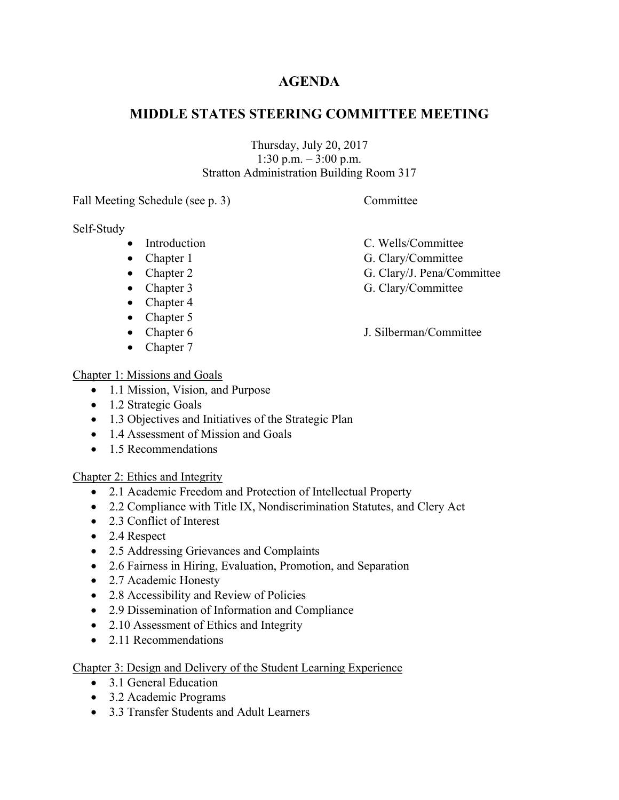## **MIDDLE STATES STEERING COMMITTEE MEETING**

Thursday, July 20, 2017 1:30 p.m. – 3:00 p.m. Stratton Administration Building Room 317

Fall Meeting Schedule (see p. 3) Committee

Self-Study

- Introduction C. Wells/Committee
- 
- 
- 
- Chapter 4
- Chapter 5
- 
- Chapter 7

## Chapter 1: Missions and Goals

- 1.1 Mission, Vision, and Purpose
- 1.2 Strategic Goals
- 1.3 Objectives and Initiatives of the Strategic Plan
- 1.4 Assessment of Mission and Goals
- 1.5 Recommendations

Chapter 2: Ethics and Integrity

- 2.1 Academic Freedom and Protection of Intellectual Property
- 2.2 Compliance with Title IX, Nondiscrimination Statutes, and Clery Act
- 2.3 Conflict of Interest
- 2.4 Respect
- 2.5 Addressing Grievances and Complaints
- 2.6 Fairness in Hiring, Evaluation, Promotion, and Separation
- 2.7 Academic Honesty
- 2.8 Accessibility and Review of Policies
- 2.9 Dissemination of Information and Compliance
- 2.10 Assessment of Ethics and Integrity
- 2.11 Recommendations

## Chapter 3: Design and Delivery of the Student Learning Experience

- 3.1 General Education
- 3.2 Academic Programs
- 3.3 Transfer Students and Adult Learners
- 
- Chapter 1 G. Clary/Committee
- Chapter 2 G. Clary/J. Pena/Committee
- Chapter 3 G. Clary/Committee
- Chapter 6 J. Silberman/Committee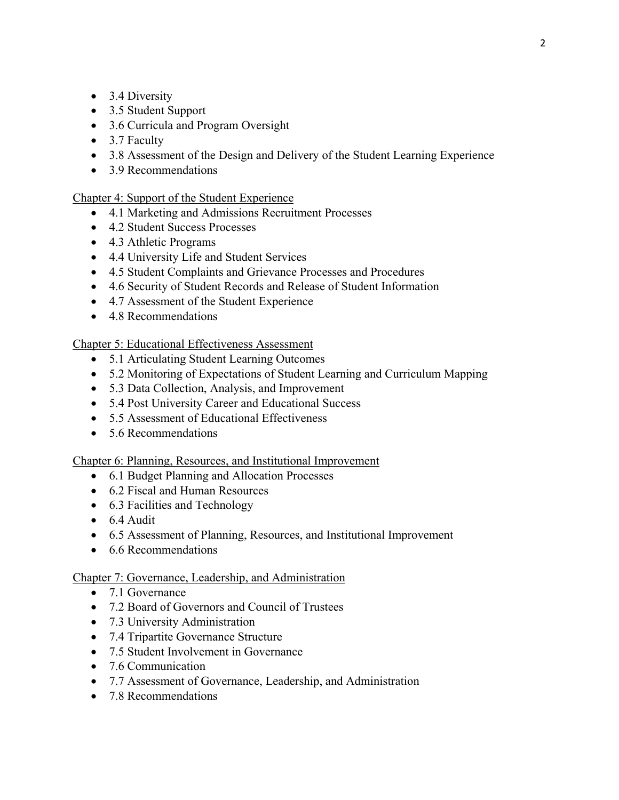- 3.4 Diversity
- 3.5 Student Support
- 3.6 Curricula and Program Oversight
- 3.7 Faculty
- 3.8 Assessment of the Design and Delivery of the Student Learning Experience
- 3.9 Recommendations

Chapter 4: Support of the Student Experience

- 4.1 Marketing and Admissions Recruitment Processes
- 4.2 Student Success Processes
- 4.3 Athletic Programs
- 4.4 University Life and Student Services
- 4.5 Student Complaints and Grievance Processes and Procedures
- 4.6 Security of Student Records and Release of Student Information
- 4.7 Assessment of the Student Experience
- 4.8 Recommendations

Chapter 5: Educational Effectiveness Assessment

- 5.1 Articulating Student Learning Outcomes
- 5.2 Monitoring of Expectations of Student Learning and Curriculum Mapping
- 5.3 Data Collection, Analysis, and Improvement
- 5.4 Post University Career and Educational Success
- 5.5 Assessment of Educational Effectiveness
- 5.6 Recommendations

Chapter 6: Planning, Resources, and Institutional Improvement

- 6.1 Budget Planning and Allocation Processes
- 6.2 Fiscal and Human Resources
- 6.3 Facilities and Technology
- $\bullet$  6.4 Audit
- 6.5 Assessment of Planning, Resources, and Institutional Improvement
- 6.6 Recommendations

### Chapter 7: Governance, Leadership, and Administration

- 7.1 Governance
- 7.2 Board of Governors and Council of Trustees
- 7.3 University Administration
- 7.4 Tripartite Governance Structure
- 7.5 Student Involvement in Governance
- 7.6 Communication
- 7.7 Assessment of Governance, Leadership, and Administration
- 7.8 Recommendations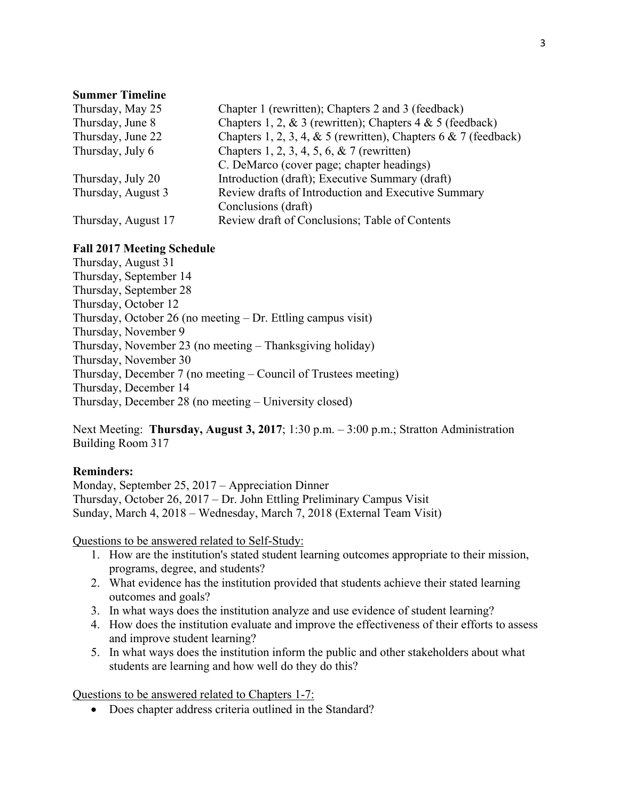#### **Summer Timeline**

| Thursday, May 25    | Chapter 1 (rewritten); Chapters 2 and 3 (feedback)                 |
|---------------------|--------------------------------------------------------------------|
| Thursday, June 8    | Chapters 1, 2, & 3 (rewritten); Chapters $4 & 5$ (feedback)        |
| Thursday, June 22   | Chapters 1, 2, 3, 4, & 5 (rewritten), Chapters $6 \& 7$ (feedback) |
| Thursday, July 6    | Chapters 1, 2, 3, 4, 5, 6, & 7 (rewritten)                         |
|                     | C. DeMarco (cover page; chapter headings)                          |
| Thursday, July 20   | Introduction (draft); Executive Summary (draft)                    |
| Thursday, August 3  | Review drafts of Introduction and Executive Summary                |
|                     | Conclusions (draft)                                                |
| Thursday, August 17 | Review draft of Conclusions; Table of Contents                     |

#### **Fall 2017 Meeting Schedule**

Thursday, August 31 Thursday, September 14 Thursday, September 28 Thursday, October 12 Thursday, October 26 (no meeting – Dr. Ettling campus visit) Thursday, November 9 Thursday, November 23 (no meeting – Thanksgiving holiday) Thursday, November 30 Thursday, December 7 (no meeting – Council of Trustees meeting) Thursday, December 14 Thursday, December 28 (no meeting – University closed)

Next Meeting: **Thursday, August 3, 2017**; 1:30 p.m. – 3:00 p.m.; Stratton Administration Building Room 317

#### **Reminders:**

Monday, September 25, 2017 – Appreciation Dinner Thursday, October 26, 2017 – Dr. John Ettling Preliminary Campus Visit Sunday, March 4, 2018 – Wednesday, March 7, 2018 (External Team Visit)

Questions to be answered related to Self-Study:

- 1. How are the institution's stated student learning outcomes appropriate to their mission, programs, degree, and students?
- 2. What evidence has the institution provided that students achieve their stated learning outcomes and goals?
- 3. In what ways does the institution analyze and use evidence of student learning?
- 4. How does the institution evaluate and improve the effectiveness of their efforts to assess and improve student learning?
- 5. In what ways does the institution inform the public and other stakeholders about what students are learning and how well do they do this?

Questions to be answered related to Chapters 1-7:

• Does chapter address criteria outlined in the Standard?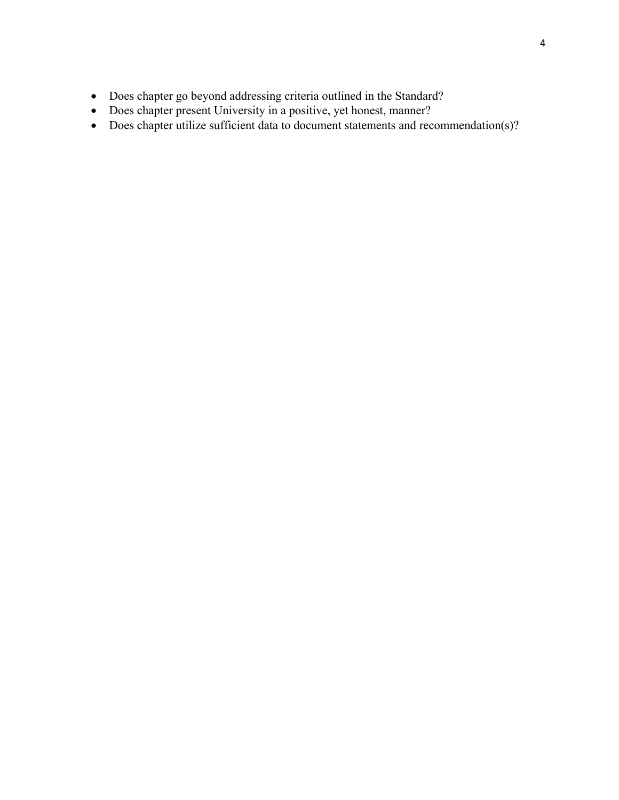- Does chapter go beyond addressing criteria outlined in the Standard?
- Does chapter present University in a positive, yet honest, manner?
- Does chapter utilize sufficient data to document statements and recommendation(s)?